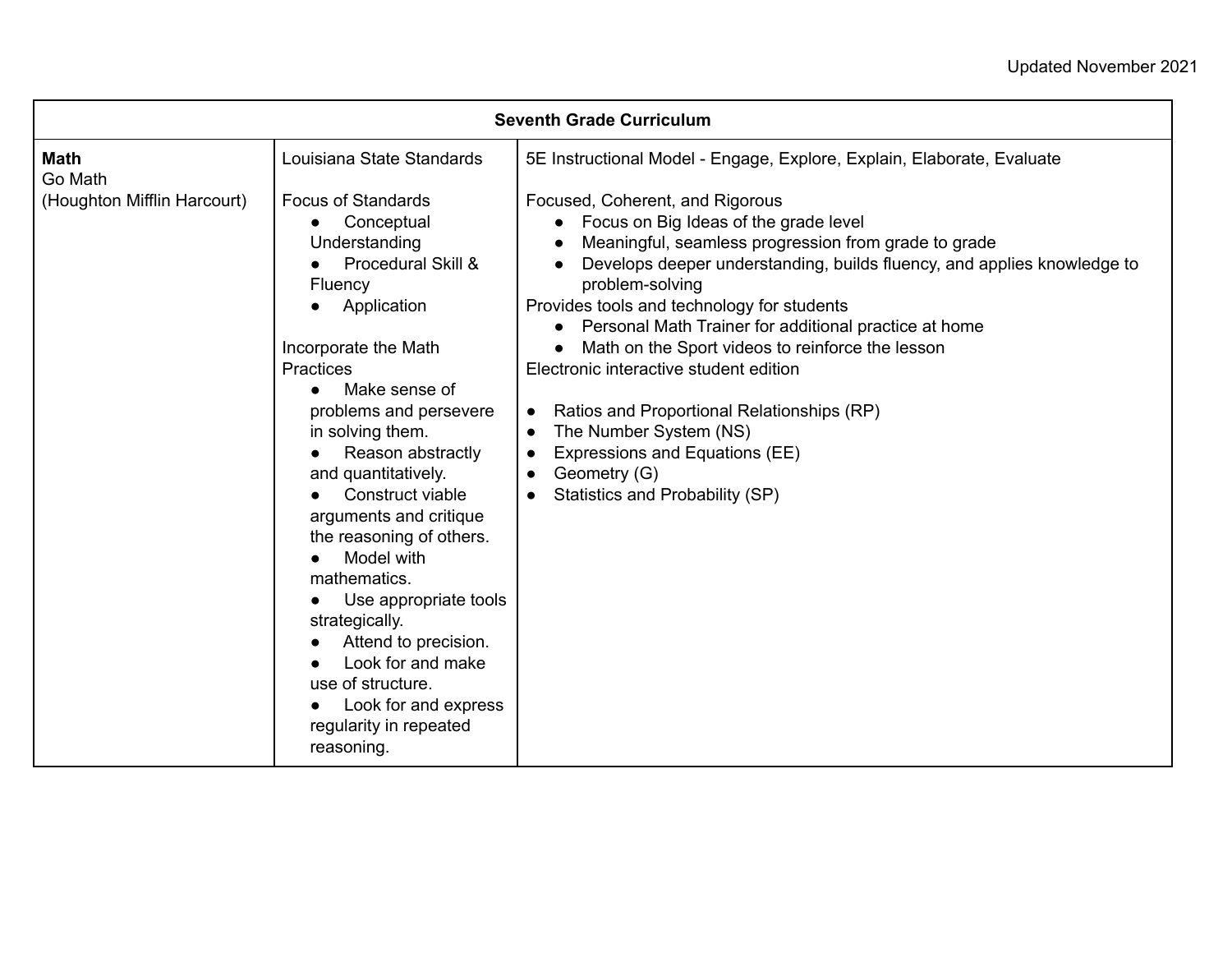| <b>Seventh Grade Curriculum</b>                       |                                                                                                                                                      |                                                                                                                                                                                                                                                                                                    |
|-------------------------------------------------------|------------------------------------------------------------------------------------------------------------------------------------------------------|----------------------------------------------------------------------------------------------------------------------------------------------------------------------------------------------------------------------------------------------------------------------------------------------------|
| <b>Math</b><br>Go Math<br>(Houghton Mifflin Harcourt) | Louisiana State Standards<br><b>Focus of Standards</b><br>Conceptual<br>Understanding<br>Procedural Skill &                                          | 5E Instructional Model - Engage, Explore, Explain, Elaborate, Evaluate<br>Focused, Coherent, and Rigorous<br>Focus on Big Ideas of the grade level<br>$\bullet$<br>Meaningful, seamless progression from grade to grade<br>Develops deeper understanding, builds fluency, and applies knowledge to |
|                                                       | Fluency<br>Application                                                                                                                               | problem-solving<br>Provides tools and technology for students<br>Personal Math Trainer for additional practice at home                                                                                                                                                                             |
|                                                       | Incorporate the Math<br>Practices<br>Make sense of<br>$\bullet$<br>problems and persevere<br>in solving them.<br>Reason abstractly                   | Math on the Sport videos to reinforce the lesson<br>Electronic interactive student edition<br>Ratios and Proportional Relationships (RP)<br>$\bullet$<br>The Number System (NS)<br>$\bullet$<br>Expressions and Equations (EE)<br>$\bullet$                                                        |
|                                                       | and quantitatively.<br>Construct viable<br>arguments and critique<br>the reasoning of others.<br>Model with<br>mathematics.<br>Use appropriate tools | Geometry (G)<br>$\bullet$<br>Statistics and Probability (SP)                                                                                                                                                                                                                                       |
|                                                       | strategically.<br>Attend to precision.<br>Look for and make<br>use of structure.<br>Look for and express<br>regularity in repeated<br>reasoning.     |                                                                                                                                                                                                                                                                                                    |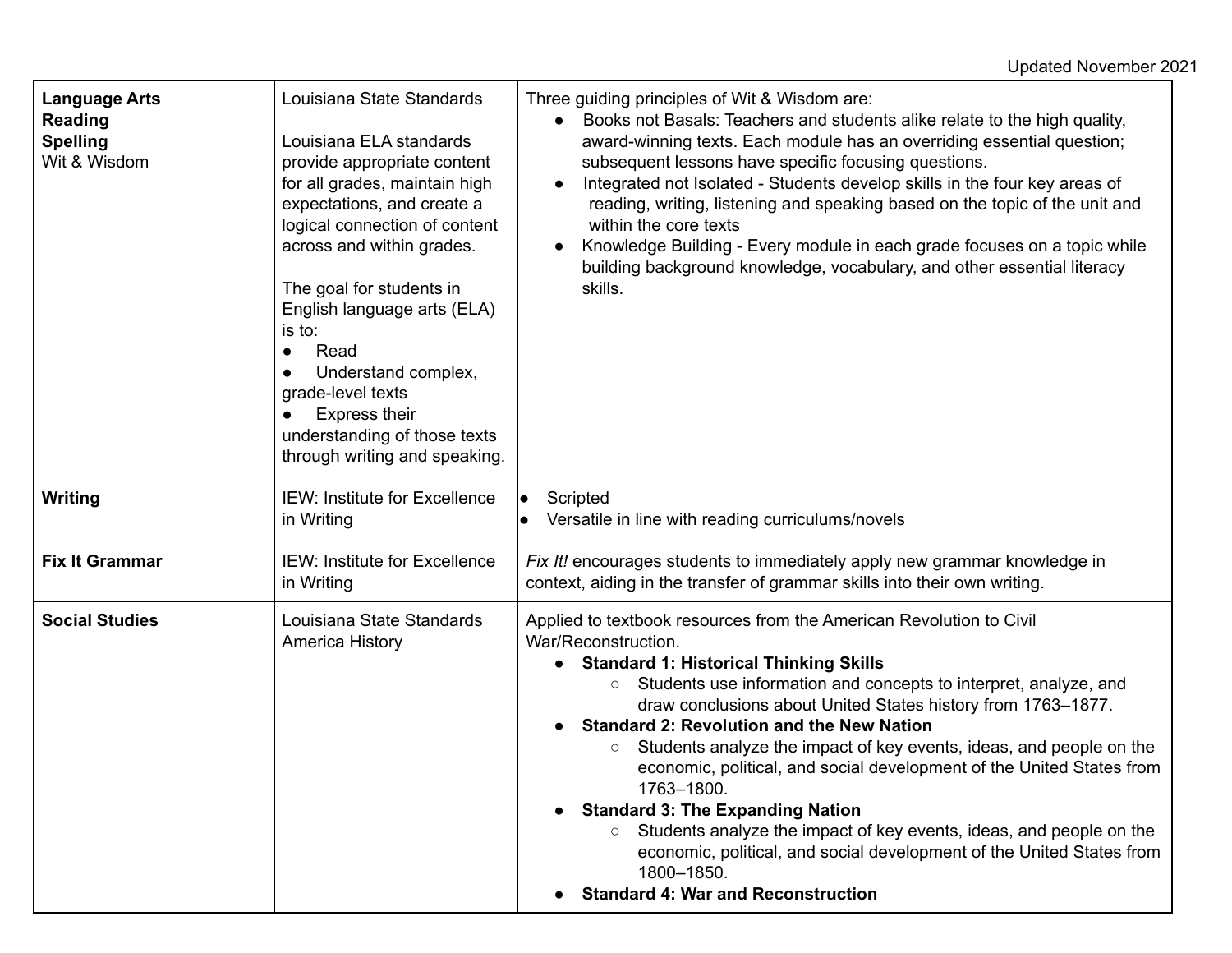| <b>Language Arts</b><br><b>Reading</b><br><b>Spelling</b><br>Wit & Wisdom | Louisiana State Standards<br>Louisiana ELA standards<br>provide appropriate content<br>for all grades, maintain high<br>expectations, and create a<br>logical connection of content<br>across and within grades.<br>The goal for students in<br>English language arts (ELA)<br>is to:<br>Read<br>$\bullet$<br>Understand complex,<br>grade-level texts<br><b>Express their</b><br>understanding of those texts<br>through writing and speaking. | Three guiding principles of Wit & Wisdom are:<br>Books not Basals: Teachers and students alike relate to the high quality,<br>$\bullet$<br>award-winning texts. Each module has an overriding essential question;<br>subsequent lessons have specific focusing questions.<br>Integrated not Isolated - Students develop skills in the four key areas of<br>$\bullet$<br>reading, writing, listening and speaking based on the topic of the unit and<br>within the core texts<br>Knowledge Building - Every module in each grade focuses on a topic while<br>$\bullet$<br>building background knowledge, vocabulary, and other essential literacy<br>skills.                                                                                                                                 |
|---------------------------------------------------------------------------|-------------------------------------------------------------------------------------------------------------------------------------------------------------------------------------------------------------------------------------------------------------------------------------------------------------------------------------------------------------------------------------------------------------------------------------------------|---------------------------------------------------------------------------------------------------------------------------------------------------------------------------------------------------------------------------------------------------------------------------------------------------------------------------------------------------------------------------------------------------------------------------------------------------------------------------------------------------------------------------------------------------------------------------------------------------------------------------------------------------------------------------------------------------------------------------------------------------------------------------------------------|
| <b>Writing</b>                                                            | IEW: Institute for Excellence<br>in Writing                                                                                                                                                                                                                                                                                                                                                                                                     | Scripted<br>$\bullet$<br>Versatile in line with reading curriculums/novels                                                                                                                                                                                                                                                                                                                                                                                                                                                                                                                                                                                                                                                                                                                  |
| <b>Fix It Grammar</b>                                                     | <b>IEW: Institute for Excellence</b><br>in Writing                                                                                                                                                                                                                                                                                                                                                                                              | Fix It! encourages students to immediately apply new grammar knowledge in<br>context, aiding in the transfer of grammar skills into their own writing.                                                                                                                                                                                                                                                                                                                                                                                                                                                                                                                                                                                                                                      |
| <b>Social Studies</b>                                                     | Louisiana State Standards<br>America History                                                                                                                                                                                                                                                                                                                                                                                                    | Applied to textbook resources from the American Revolution to Civil<br>War/Reconstruction.<br><b>Standard 1: Historical Thinking Skills</b><br>Students use information and concepts to interpret, analyze, and<br>$\bigcirc$<br>draw conclusions about United States history from 1763-1877.<br><b>Standard 2: Revolution and the New Nation</b><br>Students analyze the impact of key events, ideas, and people on the<br>$\circ$<br>economic, political, and social development of the United States from<br>1763-1800.<br><b>Standard 3: The Expanding Nation</b><br>Students analyze the impact of key events, ideas, and people on the<br>$\circ$<br>economic, political, and social development of the United States from<br>1800-1850.<br><b>Standard 4: War and Reconstruction</b> |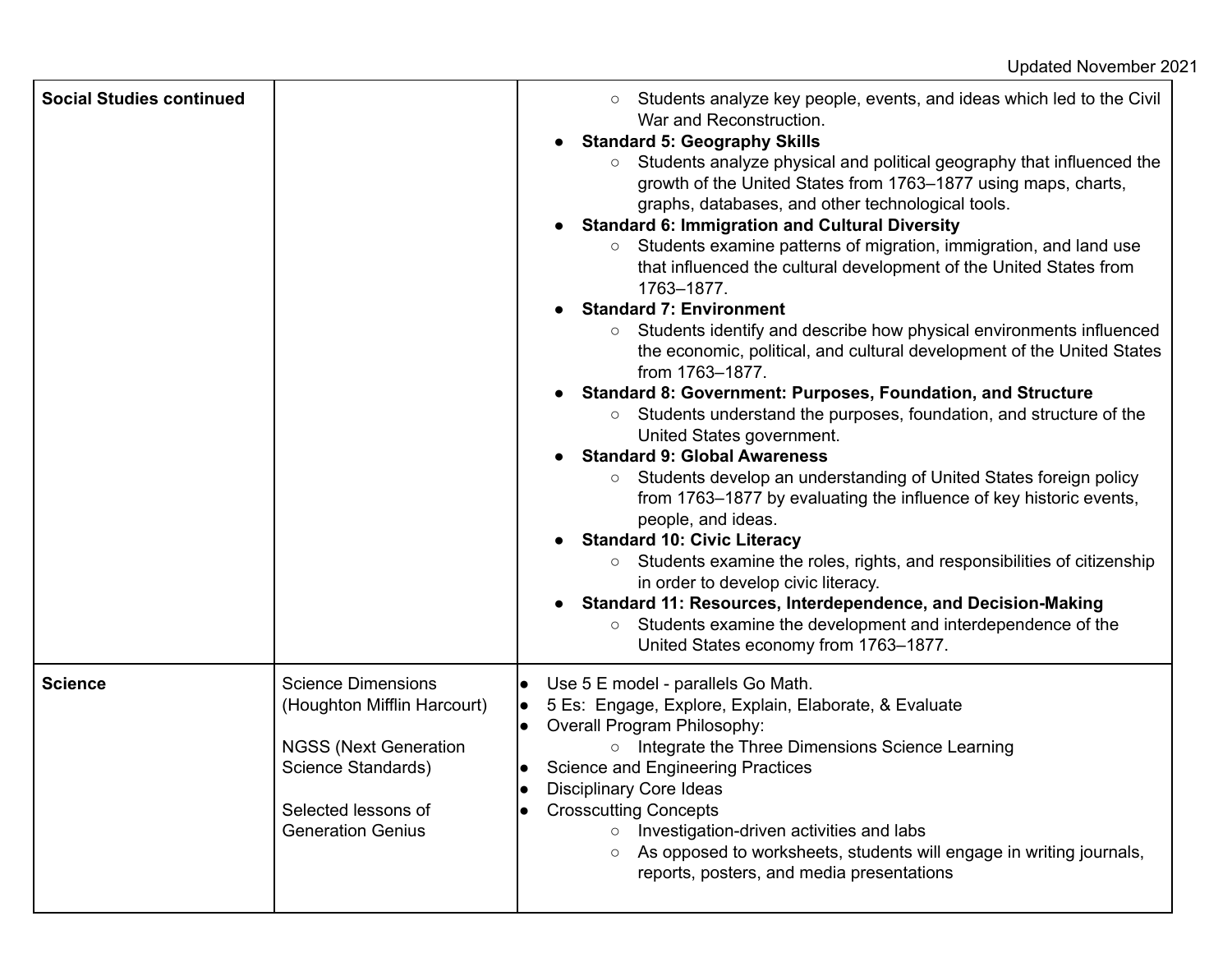| <b>Social Studies continued</b> |                                                                                                                                                                   | Students analyze key people, events, and ideas which led to the Civil<br>$\circ$<br>War and Reconstruction.<br><b>Standard 5: Geography Skills</b><br>Students analyze physical and political geography that influenced the<br>$\bigcirc$<br>growth of the United States from 1763–1877 using maps, charts,<br>graphs, databases, and other technological tools.<br><b>Standard 6: Immigration and Cultural Diversity</b><br>Students examine patterns of migration, immigration, and land use<br>$\circ$<br>that influenced the cultural development of the United States from<br>1763-1877.<br><b>Standard 7: Environment</b><br>Students identify and describe how physical environments influenced<br>$\bigcirc$<br>the economic, political, and cultural development of the United States<br>from 1763-1877.<br>Standard 8: Government: Purposes, Foundation, and Structure<br>Students understand the purposes, foundation, and structure of the<br>$\bigcirc$<br>United States government.<br><b>Standard 9: Global Awareness</b><br>Students develop an understanding of United States foreign policy<br>$\circ$<br>from 1763–1877 by evaluating the influence of key historic events,<br>people, and ideas.<br><b>Standard 10: Civic Literacy</b><br>Students examine the roles, rights, and responsibilities of citizenship<br>$\circ$<br>in order to develop civic literacy.<br><b>Standard 11: Resources, Interdependence, and Decision-Making</b><br>Students examine the development and interdependence of the<br>$\circ$<br>United States economy from 1763-1877. |
|---------------------------------|-------------------------------------------------------------------------------------------------------------------------------------------------------------------|-----------------------------------------------------------------------------------------------------------------------------------------------------------------------------------------------------------------------------------------------------------------------------------------------------------------------------------------------------------------------------------------------------------------------------------------------------------------------------------------------------------------------------------------------------------------------------------------------------------------------------------------------------------------------------------------------------------------------------------------------------------------------------------------------------------------------------------------------------------------------------------------------------------------------------------------------------------------------------------------------------------------------------------------------------------------------------------------------------------------------------------------------------------------------------------------------------------------------------------------------------------------------------------------------------------------------------------------------------------------------------------------------------------------------------------------------------------------------------------------------------------------------------------------------------------------------------------|
| <b>Science</b>                  | <b>Science Dimensions</b><br>(Houghton Mifflin Harcourt)<br><b>NGSS (Next Generation</b><br>Science Standards)<br>Selected lessons of<br><b>Generation Genius</b> | Use 5 E model - parallels Go Math.<br>5 Es: Engage, Explore, Explain, Elaborate, & Evaluate<br>lo<br>Overall Program Philosophy:<br>Integrate the Three Dimensions Science Learning<br>$\circ$<br><b>Science and Engineering Practices</b><br>$\bullet$<br><b>Disciplinary Core Ideas</b><br><b>Crosscutting Concepts</b><br>Investigation-driven activities and labs<br>As opposed to worksheets, students will engage in writing journals,<br>reports, posters, and media presentations                                                                                                                                                                                                                                                                                                                                                                                                                                                                                                                                                                                                                                                                                                                                                                                                                                                                                                                                                                                                                                                                                         |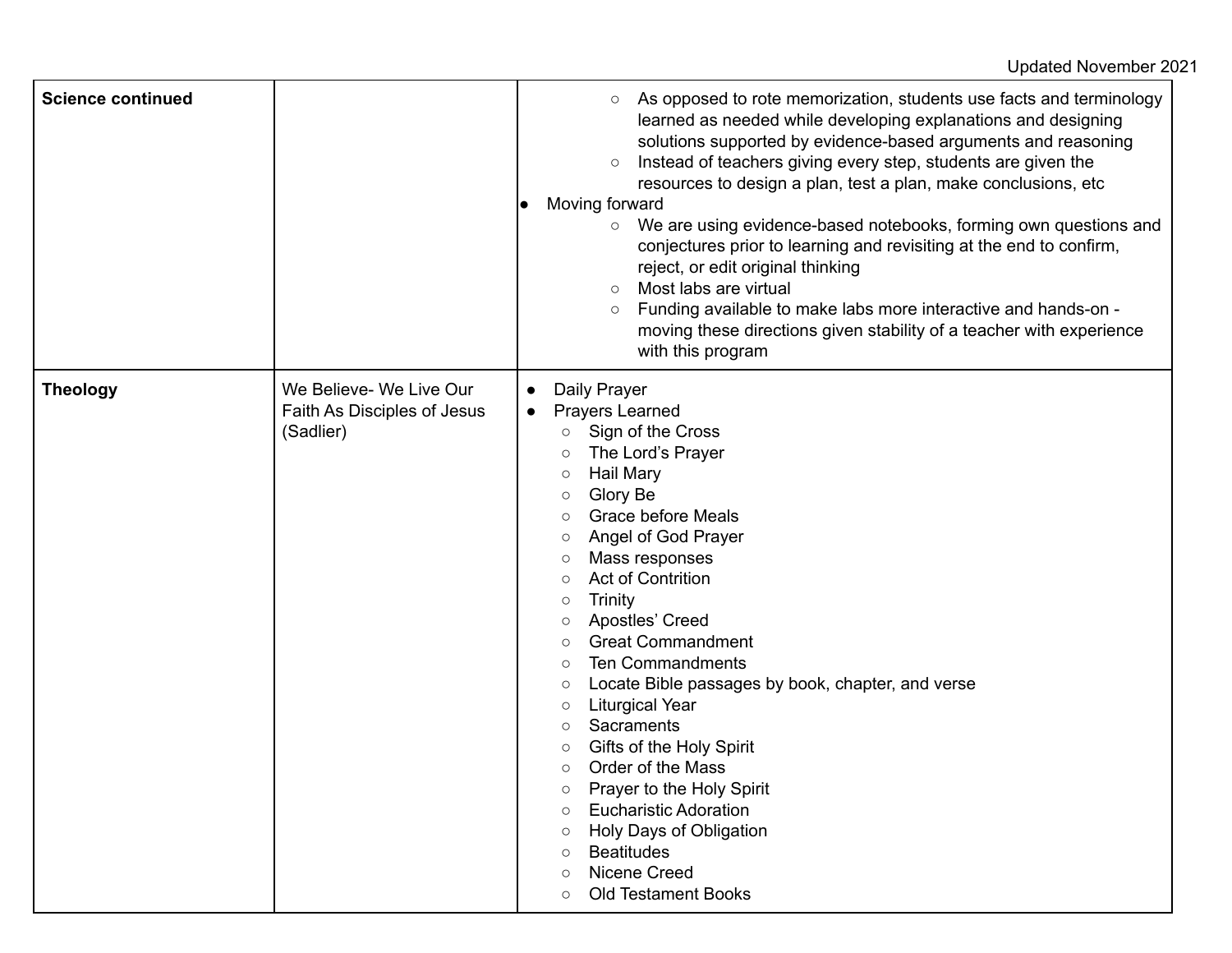| <b>Science continued</b> |                                                                     | As opposed to rote memorization, students use facts and terminology<br>$\circ$<br>learned as needed while developing explanations and designing<br>solutions supported by evidence-based arguments and reasoning<br>Instead of teachers giving every step, students are given the<br>$\circ$<br>resources to design a plan, test a plan, make conclusions, etc.<br>Moving forward<br>We are using evidence-based notebooks, forming own questions and<br>$\circ$<br>conjectures prior to learning and revisiting at the end to confirm,<br>reject, or edit original thinking<br>Most labs are virtual<br>$\circ$<br>Funding available to make labs more interactive and hands-on -<br>$\circ$<br>moving these directions given stability of a teacher with experience<br>with this program                                                                |
|--------------------------|---------------------------------------------------------------------|-----------------------------------------------------------------------------------------------------------------------------------------------------------------------------------------------------------------------------------------------------------------------------------------------------------------------------------------------------------------------------------------------------------------------------------------------------------------------------------------------------------------------------------------------------------------------------------------------------------------------------------------------------------------------------------------------------------------------------------------------------------------------------------------------------------------------------------------------------------|
| <b>Theology</b>          | We Believe- We Live Our<br>Faith As Disciples of Jesus<br>(Sadlier) | Daily Prayer<br>$\bullet$<br>Prayers Learned<br>$\bullet$<br>Sign of the Cross<br>$\circ$<br>The Lord's Prayer<br>$\circ$<br><b>Hail Mary</b><br>$\circ$<br>Glory Be<br>$\circ$<br><b>Grace before Meals</b><br>Angel of God Prayer<br>$\circ$<br>Mass responses<br>$\circ$<br><b>Act of Contrition</b><br>$\circ$<br>Trinity<br>$\circ$<br>Apostles' Creed<br>$\circ$<br><b>Great Commandment</b><br>$\circ$<br><b>Ten Commandments</b><br>$\circ$<br>Locate Bible passages by book, chapter, and verse<br>$\circ$<br><b>Liturgical Year</b><br>$\circ$<br>Sacraments<br>$\circ$<br>Gifts of the Holy Spirit<br>$\circ$<br>Order of the Mass<br>$\circ$<br>Prayer to the Holy Spirit<br>О<br><b>Eucharistic Adoration</b><br>$\circ$<br>Holy Days of Obligation<br><b>Beatitudes</b><br>Nicene Creed<br>$\circ$<br><b>Old Testament Books</b><br>$\circ$ |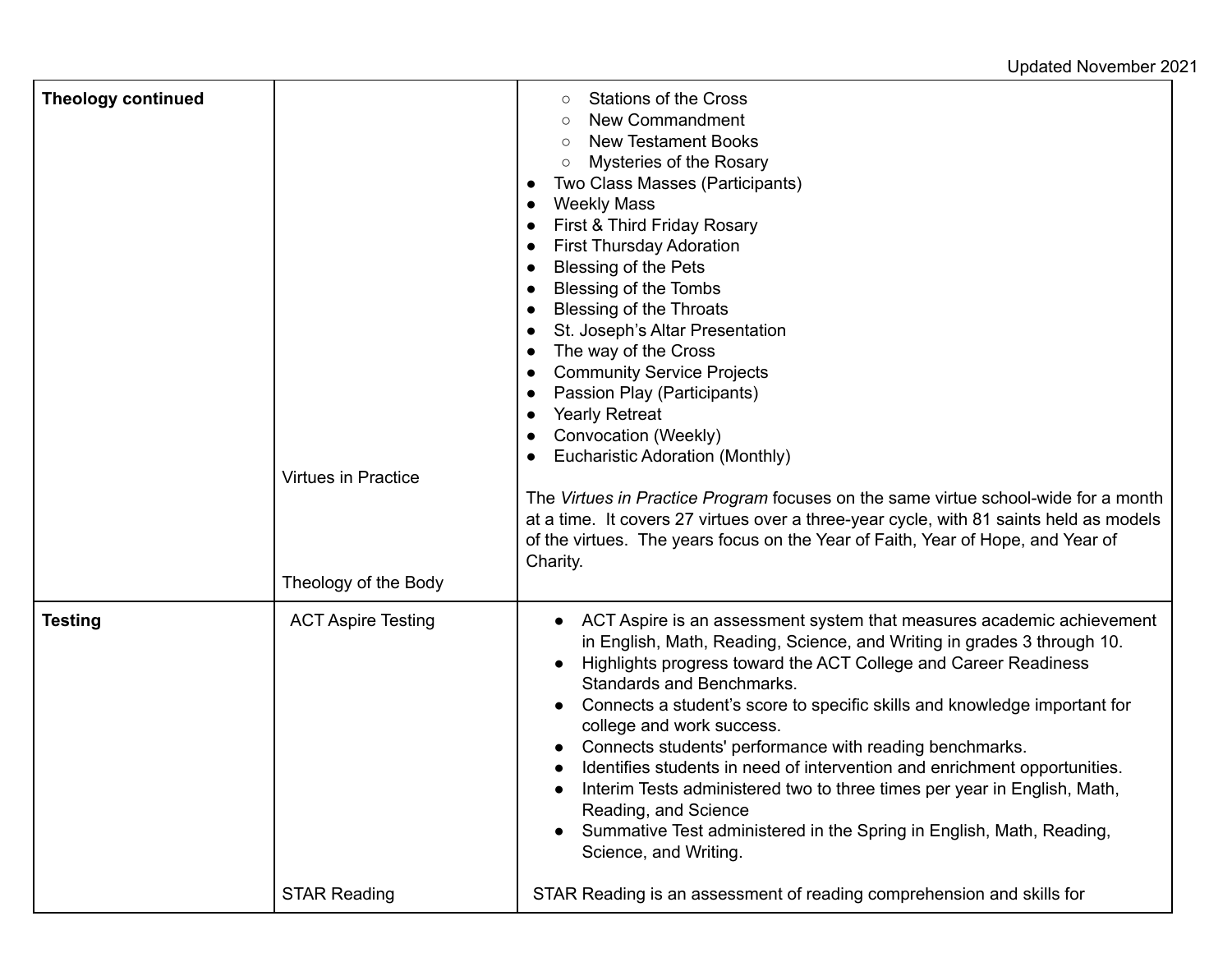## Updated November 2021

| <b>Theology continued</b> | Virtues in Practice<br>Theology of the Body | <b>Stations of the Cross</b><br>O<br>New Commandment<br><b>New Testament Books</b><br>Mysteries of the Rosary<br>$\circ$<br>Two Class Masses (Participants)<br>$\bullet$<br><b>Weekly Mass</b><br>$\bullet$<br>First & Third Friday Rosary<br><b>First Thursday Adoration</b><br>$\bullet$<br><b>Blessing of the Pets</b><br>$\bullet$<br>Blessing of the Tombs<br><b>Blessing of the Throats</b><br>St. Joseph's Altar Presentation<br>The way of the Cross<br>$\bullet$<br><b>Community Service Projects</b><br>Passion Play (Participants)<br>$\bullet$<br><b>Yearly Retreat</b><br>$\bullet$<br>Convocation (Weekly)<br>$\bullet$<br>Eucharistic Adoration (Monthly)<br>The Virtues in Practice Program focuses on the same virtue school-wide for a month<br>at a time. It covers 27 virtues over a three-year cycle, with 81 saints held as models<br>of the virtues. The years focus on the Year of Faith, Year of Hope, and Year of<br>Charity. |
|---------------------------|---------------------------------------------|---------------------------------------------------------------------------------------------------------------------------------------------------------------------------------------------------------------------------------------------------------------------------------------------------------------------------------------------------------------------------------------------------------------------------------------------------------------------------------------------------------------------------------------------------------------------------------------------------------------------------------------------------------------------------------------------------------------------------------------------------------------------------------------------------------------------------------------------------------------------------------------------------------------------------------------------------------|
| <b>Testing</b>            | <b>ACT Aspire Testing</b>                   | ACT Aspire is an assessment system that measures academic achievement<br>in English, Math, Reading, Science, and Writing in grades 3 through 10.<br>Highlights progress toward the ACT College and Career Readiness<br>٠<br>Standards and Benchmarks.<br>Connects a student's score to specific skills and knowledge important for<br>college and work success.<br>Connects students' performance with reading benchmarks.<br>Identifies students in need of intervention and enrichment opportunities.<br>Interim Tests administered two to three times per year in English, Math,<br>Reading, and Science<br>Summative Test administered in the Spring in English, Math, Reading,<br>Science, and Writing.                                                                                                                                                                                                                                            |
|                           | <b>STAR Reading</b>                         | STAR Reading is an assessment of reading comprehension and skills for                                                                                                                                                                                                                                                                                                                                                                                                                                                                                                                                                                                                                                                                                                                                                                                                                                                                                   |